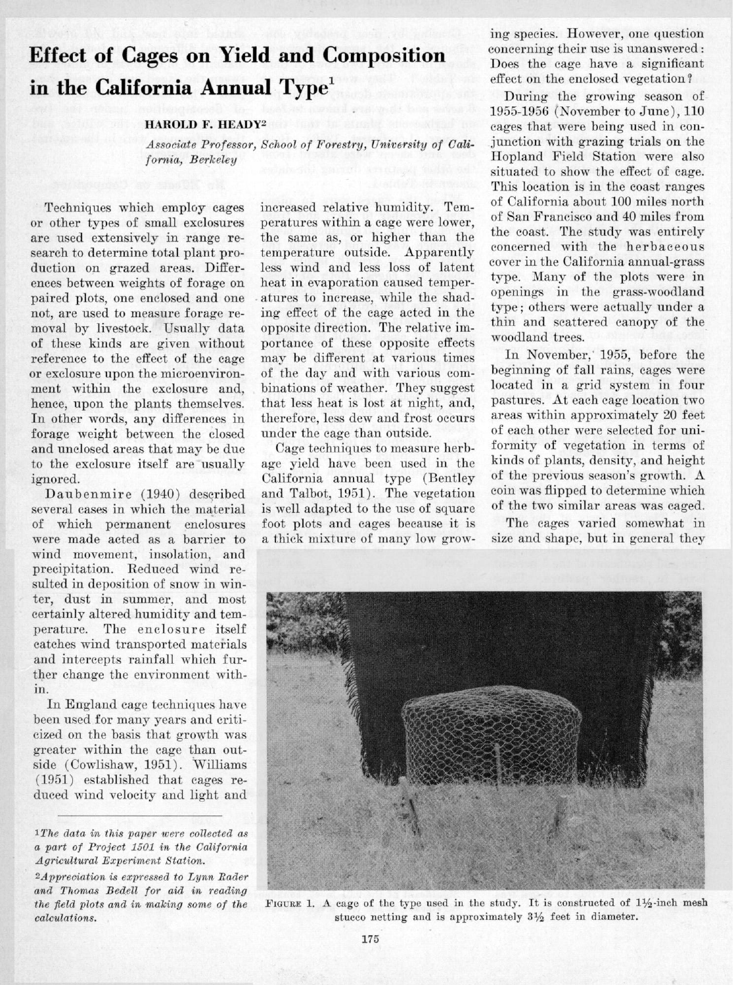# **Effect of Cages on Yield and Composition in the California Annual Type'**

#### **HAROLD F. HEADY2**

Associate Professor, School of Forestry, University of California, Berkeley

Techniques which employ cages or other types of small exclosures are used extensively in range research to determine total plant production on grazed areas. Differences between weights of forage on paired plots, one enclosed and one not, are used to measure forage removal by livestock. Usually data of these kinds are given without reference to the effect of the cage or exelosure upon the microenvironment within the exclosure and, hence, upon the plants themselves. In other words, any differences in forage weight between the closed and unclosed areas that may be due to the exclosure itself are usually ignored.

Daubenmire (1940) described several cases in which the material of which permanent enclosures were made acted as a barrier to wind movement, insolation, and precipitation. Reduced wind resulted in deposition of snow in winter, dust in summer, and most certainly altered humidity and temperature. The enclosure itself catches wind transported materials and intercepts rainfall which further change the environment within.

In England eagc techniques have been used for many years and criticized on the basis that growth was greater within the cage than outside (Cowlishaw, 1951). Williams (1951) established that cages reduced wind velocity and light and

1The data in this paper were collected as a part of Project 1501 in the California Agricultural Experiment Station.

 $2\text{A}$  ppreciation is expressed to Lynn Rader and Thomas Bedell for aid in reading the field plots and in making some of the calculations.

increased relative humidity. Temperatures within a cage were lower, the same as, or higher than the temperature outside. Apparently less wind and less loss of latent heat in evaporation caused temperatures to increase, while the shading effect of the cage acted in the opposite direction. The relative importance of these opposite effects may be different at various times of the day and with various combinations of weather. They suggest that less heat is lost at night, and, therefore, less dew and frost occurs under the cage than outside.

Cage techniques to measure herbage yield have been used in the California annual type (Bentley and Talbot, 1951). The vegetation is me11 adapted to the use of square foot plots and cages because it is a thick mixture of many low grow-

ing species. However, one question concerning their use is unanswered : Does the cage have a significant effect on the enclosed vegetation?

During the growing season of 1955.1956 (November to June), 110 cages that were being used in conjunction with grazing trials on the Hopland Field Station were also situated to show the effect of cage. This location is in the coast ranges of California about 100 miles north of San Francisco and 40 miles from the coast. The study was entirely concerned with the herbaceous cover in the California annual-grass type. Many of the plots were in openings in the grass-woodland type ; others were actually under a thin and scattered canopy of the woodland trees.

In November,' 1955, before the beginning of fall rains, cages were located in a grid system in four pastures. At each cage location two areas within approximately 20 feet of each other were selected for uniformity of vegetation in terms of kinds of plants, density, and height of the previous season's growth. A coin was flipped to determine which of the two similar areas was caged.

The cages varied somewhat in size and shape, but in general they



FIGURE 1. A cage of the type used in the study. It is constructed of  $1\frac{1}{2}$ -inch mesh stucco netting and is approximately  $3\frac{1}{2}$  feet in diameter.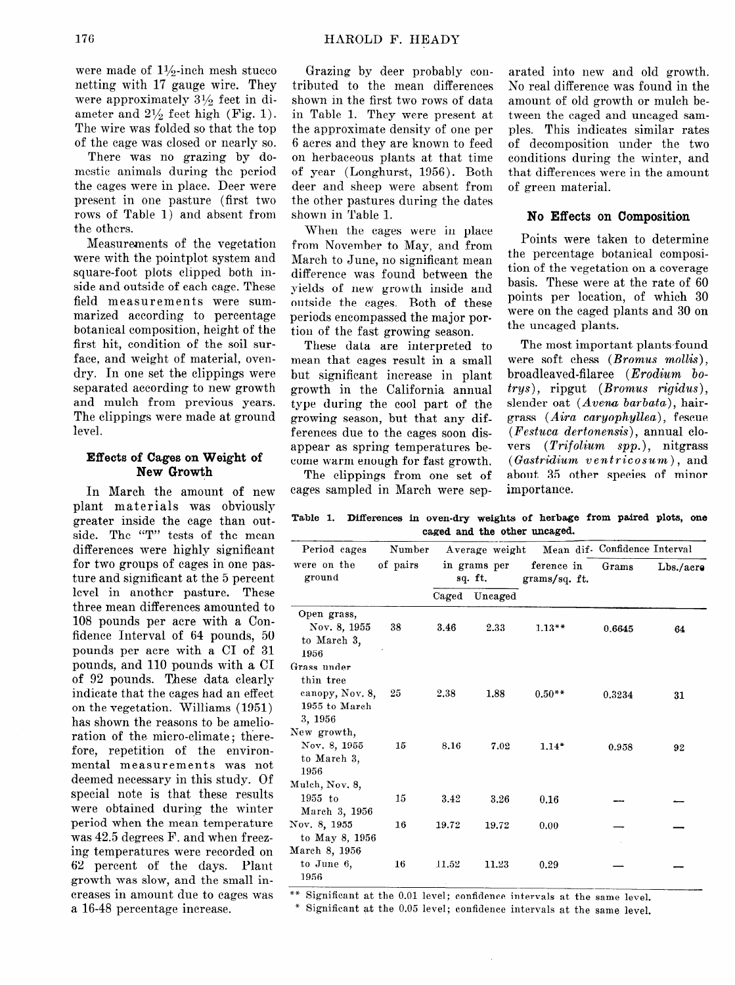were made of  $1\frac{1}{2}$ inch mesh stucco netting with 17 gauge wire. They were approximately 31/g feet in diameter and  $2\frac{1}{2}$  feet high (Fig. 1). The wire was folded so that the top of the cage was closed or nearly so.

There was no grazing by domestic animals during the period the cages were in place. Deer were present in one pasture (first two rows of Table 1) and absent from the others.

Measurements of the vegetation were with the pointplot system and square-foot plots clipped both inside and outside of each cage. These field measurements were summarized according to percentage botanical composition, height of the first hit, condition of the soil surface, and weight of material, ovendry. In one set the clippings were separated according to new growth and mulch from previous years. The clippings were made at ground level.

# **Effects of Cages on Weight of New Growth**

In March the amount of new plant materials was obviously greater inside the cage than outside. The "T" tests of the mean differences were highly significant for two groups of cages in one pasture and significant at the 5 percent level in another pasture. These three mean differences amounted to 108 pounds per acre with a Confidence Interval of 64 pounds, 50 pounds per acre with a CI of 31 pounds, and 110 pounds with a CI of 92 pounds. These data clearly indicate that the cages had an effect on the vegetation. Williams (1951) has shown the reasons to be amelioration of the micro-climate; therefore, repetition of the environmental measurements was not deemed necessary in this study. Of special note is that these results were obtained during the winter period when the mean temperature was 42.5 degrees F. and when freezing temperatures were recorded on 62 percent of the days. Plant growth was slow, and the small increases in amount due to cages was a 16-48 percentage increase.

Grazing by deer probably contributed to the mean differences shown in the first two rows of data in Table 1. They were present at the approximate density of one per 6 acres and they are known to feed on herbaceous plants at that time of year (Longhurst, 1956). Both deer and sheep were absent from the other pastures during the dates shown in Table 1.

When the cages were in place from November to May, and from March to June, no significant mean difference was found between the yields of new growth inside and outside the cages. Both of these periods encompassed the major portion of the fast growing season.

These data are interpreted to mean that cages result in a small but significant increase in plant growth in the California annual type during the cool part of the growing season, but that any differences due to the cages soon disappear as spring temperatures become warm enough for fast growth.

The clippings from one set of cages sampled in March were sep-

arated into new and old growth. No real difference was found in the amount of old growth or mulch between the caged and uncaged samples. This indicates similar rates of decomposition under the two conditions during the winter, and that differences were in the amount of green material.

## No Effects on Composition

Points were taken to determine the percentage botanical composition of the vegetation on a coverage basis. These were at the rate of 60 points per location, of which 30 were on the caged plants and 30 on the uncaged plants.

The most important plants found were soft chess *(Bromus mollis)*, broadleaved-filaree (Erodium bo**trys) ,** ripgut *(Bromus rigidus),*  slender oat  $(Avena\ barbata)$ , hairgrass  $(Aira \ caruophullea)$ , fescue *(Festuca dertonensis)*, annual clovers *(Trifolium spp.)*, nitgrass *(Gastridium ventricosum),* and about 35 other species of minor importance.

Table 1. Differences in oven-dry weights of herbage from paired plots, one **caged and the other uncaged.** 

| Period cages                                                  | Number<br>of pairs | in grams per<br>sq. ft. |         | ference in<br>grams/sq. ft. | Average weight Mean dif- Confidence Interval |           |
|---------------------------------------------------------------|--------------------|-------------------------|---------|-----------------------------|----------------------------------------------|-----------|
| were on the<br>ground                                         |                    |                         |         |                             | Grams                                        | Lbs./acre |
|                                                               |                    | Caged                   | Uncaged |                             |                                              |           |
| Open grass,<br>Nov. 8, 1955<br>to March 3,<br>1956            | 38                 | 3.46                    | 2.33    | $1.13**$                    | 0.6645                                       | 64        |
| Grass under<br>thin tree<br>canopy, Nov. 8,<br>1955 to March  | 25                 | 2.38                    | 1.88    | $0.50**$                    | 0.3234                                       | 31        |
| 3, 1956<br>New growth,<br>Nov. 8, 1955<br>to March 3,<br>1956 | 15                 | 8.16                    | 7.02    | $1.14*$                     | 0.958                                        | 92        |
| Mulch, Nov. 8,<br>$1955$ to<br>March 3, 1956                  | 15                 | 3.42                    | 3.26    | 0.16                        |                                              |           |
| Nov. 8, 1955<br>to May 8, 1956<br>March 8, 1956               | 16                 | 19.72                   | 19.72   | 0.00                        |                                              |           |
| to June 6,<br>1956                                            | 16                 | 11.52                   | 11.23   | 0.29                        |                                              |           |

\*\* Significant at the 0.01 level; confidence intervals at the same level.

\* Significant at the 0.05 level; confidence intervals at the same level.